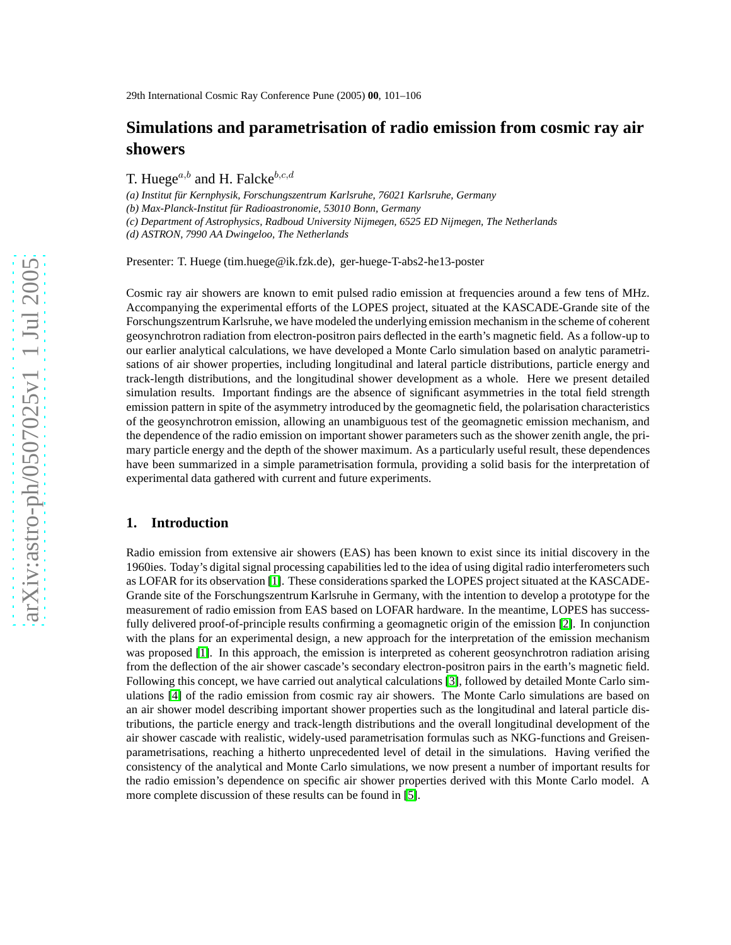# **Simulations and parametrisation of radio emission from cosmic ray air showers**

T. Huege<sup> $a,b$ </sup> and H. Falcke<sup>b,c,d</sup>

*(a) Institut f¨ur Kernphysik, Forschungszentrum Karlsruhe, 76021 Karlsruhe, Germany*

*(b) Max-Planck-Institut f¨ur Radioastronomie, 53010 Bonn, Germany*

*(c) Department of Astrophysics, Radboud University Nijmegen, 6525 ED Nijmegen, The Netherlands*

*(d) ASTRON, 7990 AA Dwingeloo, The Netherlands*

Presenter: T. Huege (tim.huege@ik.fzk.de), ger-huege-T-abs2-he13-poster

Cosmic ray air showers are known to emit pulsed radio emission at frequencies around a few tens of MHz. Accompanying the experimental efforts of the LOPES project, situated at the KASCADE-Grande site of the Forschungszentrum Karlsruhe, we have modeled the underlying emission mechanism in the scheme of coherent geosynchrotron radiation from electron-positron pairs deflected in the earth's magnetic field. As a follow-up to our earlier analytical calculations, we have developed a Monte Carlo simulation based on analytic parametrisations of air shower properties, including longitudinal and lateral particle distributions, particle energy and track-length distributions, and the longitudinal shower development as a whole. Here we present detailed simulation results. Important findings are the absence of significant asymmetries in the total field strength emission pattern in spite of the asymmetry introduced by the geomagnetic field, the polarisation characteristics of the geosynchrotron emission, allowing an unambiguous test of the geomagnetic emission mechanism, and the dependence of the radio emission on important shower parameters such as the shower zenith angle, the primary particle energy and the depth of the shower maximum. As a particularly useful result, these dependences have been summarized in a simple parametrisation formula, providing a solid basis for the interpretation of experimental data gathered with current and future experiments.

#### **1. Introduction**

Radio emission from extensive air showers (EAS) has been known to exist since its initial discovery in the 1960ies. Today's digital signal processing capabilities led to the idea of using digital radio interferometers such as LOFAR for its observation [\[1\]](#page-3-0). These considerations sparked the LOPES project situated at the KASCADE-Grande site of the Forschungszentrum Karlsruhe in Germany, with the intention to develop a prototype for the measurement of radio emission from EAS based on LOFAR hardware. In the meantime, LOPES has successfully delivered proof-of-principle results confirming a geomagnetic origin of the emission [\[2\]](#page-3-1). In conjunction with the plans for an experimental design, a new approach for the interpretation of the emission mechanism was proposed [\[1\]](#page-3-0). In this approach, the emission is interpreted as coherent geosynchrotron radiation arising from the deflection of the air shower cascade's secondary electron-positron pairs in the earth's magnetic field. Following this concept, we have carried out analytical calculations [\[3\]](#page-3-2), followed by detailed Monte Carlo simulations [\[4\]](#page-3-3) of the radio emission from cosmic ray air showers. The Monte Carlo simulations are based on an air shower model describing important shower properties such as the longitudinal and lateral particle distributions, the particle energy and track-length distributions and the overall longitudinal development of the air shower cascade with realistic, widely-used parametrisation formulas such as NKG-functions and Greisenparametrisations, reaching a hitherto unprecedented level of detail in the simulations. Having verified the consistency of the analytical and Monte Carlo simulations, we now present a number of important results for the radio emission's dependence on specific air shower properties derived with this Monte Carlo model. A more complete discussion of these results can be found in [\[5\]](#page-3-4).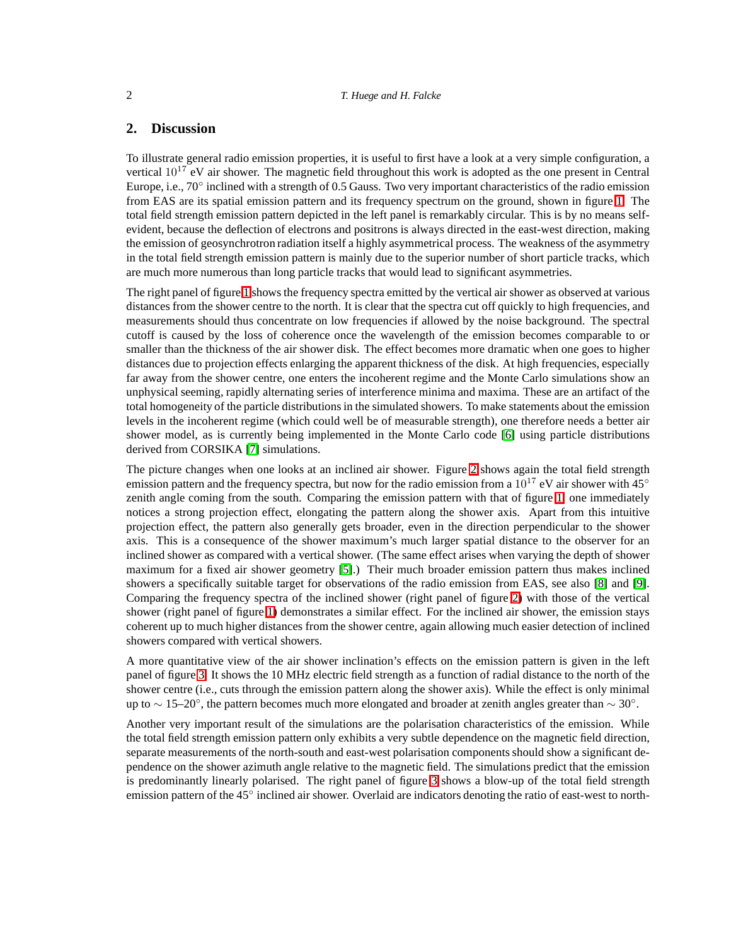#### 2 *T. Huege and H. Falcke*

### **2. Discussion**

To illustrate general radio emission properties, it is useful to first have a look at a very simple configuration, a vertical  $10^{17}$  eV air shower. The magnetic field throughout this work is adopted as the one present in Central Europe, i.e., 70° inclined with a strength of 0.5 Gauss. Two very important characteristics of the radio emission from EAS are its spatial emission pattern and its frequency spectrum on the ground, shown in figure [1.](#page-2-0) The total field strength emission pattern depicted in the left panel is remarkably circular. This is by no means selfevident, because the deflection of electrons and positrons is always directed in the east-west direction, making the emission of geosynchrotron radiation itself a highly asymmetrical process. The weakness of the asymmetry in the total field strength emission pattern is mainly due to the superior number of short particle tracks, which are much more numerous than long particle tracks that would lead to significant asymmetries.

The right panel of figure [1](#page-2-0) shows the frequency spectra emitted by the vertical air shower as observed at various distances from the shower centre to the north. It is clear that the spectra cut off quickly to high frequencies, and measurements should thus concentrate on low frequencies if allowed by the noise background. The spectral cutoff is caused by the loss of coherence once the wavelength of the emission becomes comparable to or smaller than the thickness of the air shower disk. The effect becomes more dramatic when one goes to higher distances due to projection effects enlarging the apparent thickness of the disk. At high frequencies, especially far away from the shower centre, one enters the incoherent regime and the Monte Carlo simulations show an unphysical seeming, rapidly alternating series of interference minima and maxima. These are an artifact of the total homogeneity of the particle distributions in the simulated showers. To make statements about the emission levels in the incoherent regime (which could well be of measurable strength), one therefore needs a better air shower model, as is currently being implemented in the Monte Carlo code [\[6\]](#page-3-5) using particle distributions derived from CORSIKA [\[7\]](#page-3-6) simulations.

The picture changes when one looks at an inclined air shower. Figure [2](#page-2-1) shows again the total field strength emission pattern and the frequency spectra, but now for the radio emission from a  $10^{17}$  eV air shower with 45° zenith angle coming from the south. Comparing the emission pattern with that of figure [1,](#page-2-0) one immediately notices a strong projection effect, elongating the pattern along the shower axis. Apart from this intuitive projection effect, the pattern also generally gets broader, even in the direction perpendicular to the shower axis. This is a consequence of the shower maximum's much larger spatial distance to the observer for an inclined shower as compared with a vertical shower. (The same effect arises when varying the depth of shower maximum for a fixed air shower geometry [\[5\]](#page-3-4).) Their much broader emission pattern thus makes inclined showers a specifically suitable target for observations of the radio emission from EAS, see also [\[8\]](#page-3-7) and [\[9\]](#page-3-8). Comparing the frequency spectra of the inclined shower (right panel of figure [2\)](#page-2-1) with those of the vertical shower (right panel of figure [1\)](#page-2-0) demonstrates a similar effect. For the inclined air shower, the emission stays coherent up to much higher distances from the shower centre, again allowing much easier detection of inclined showers compared with vertical showers.

A more quantitative view of the air shower inclination's effects on the emission pattern is given in the left panel of figure [3.](#page-3-9) It shows the 10 MHz electric field strength as a function of radial distance to the north of the shower centre (i.e., cuts through the emission pattern along the shower axis). While the effect is only minimal up to ∼ 15–20°, the pattern becomes much more elongated and broader at zenith angles greater than ~ 30°.

Another very important result of the simulations are the polarisation characteristics of the emission. While the total field strength emission pattern only exhibits a very subtle dependence on the magnetic field direction, separate measurements of the north-south and east-west polarisation components should show a significant dependence on the shower azimuth angle relative to the magnetic field. The simulations predict that the emission is predominantly linearly polarised. The right panel of figure [3](#page-3-9) shows a blow-up of the total field strength emission pattern of the 45° inclined air shower. Overlaid are indicators denoting the ratio of east-west to north-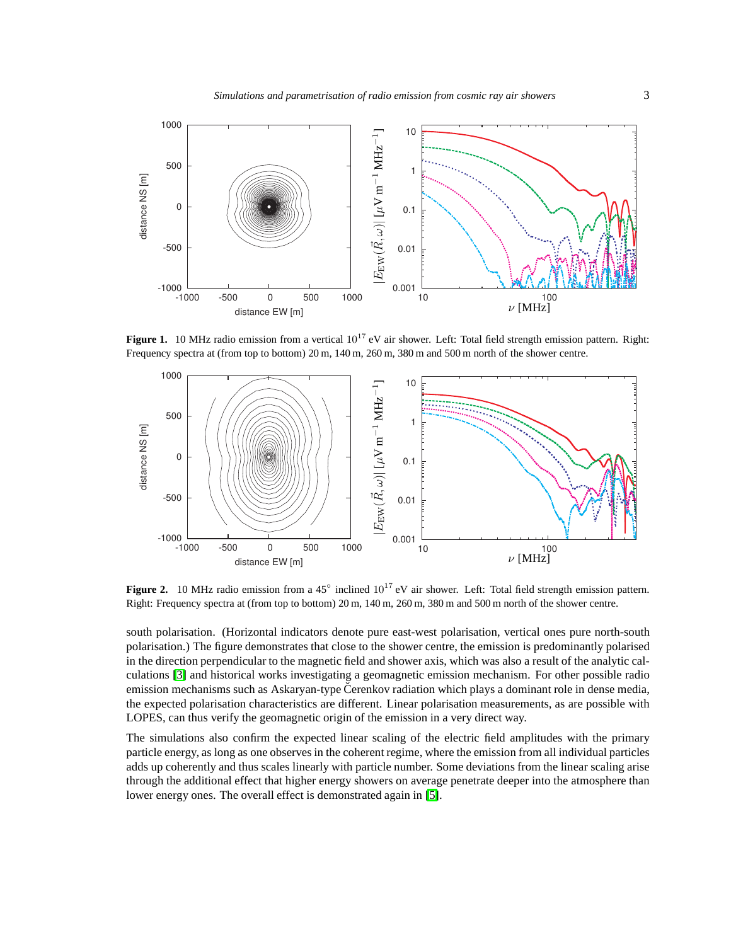

<span id="page-2-0"></span>**Figure 1.** 10 MHz radio emission from a vertical  $10^{17}$  eV air shower. Left: Total field strength emission pattern. Right: Frequency spectra at (from top to bottom) 20 m, 140 m, 260 m, 380 m and 500 m north of the shower centre.



<span id="page-2-1"></span>**Figure 2.** 10 MHz radio emission from a 45<sup>°</sup> inclined 10<sup>17</sup> eV air shower. Left: Total field strength emission pattern. Right: Frequency spectra at (from top to bottom) 20 m, 140 m, 260 m, 380 m and 500 m north of the shower centre.

south polarisation. (Horizontal indicators denote pure east-west polarisation, vertical ones pure north-south polarisation.) The figure demonstrates that close to the shower centre, the emission is predominantly polarised in the direction perpendicular to the magnetic field and shower axis, which was also a result of the analytic calculations [\[3\]](#page-3-2) and historical works investigating a geomagnetic emission mechanism. For other possible radio emission mechanisms such as Askaryan-type Cerenkov radiation which plays a dominant role in dense media, the expected polarisation characteristics are different. Linear polarisation measurements, as are possible with LOPES, can thus verify the geomagnetic origin of the emission in a very direct way.

The simulations also confirm the expected linear scaling of the electric field amplitudes with the primary particle energy, as long as one observes in the coherent regime, where the emission from all individual particles adds up coherently and thus scales linearly with particle number. Some deviations from the linear scaling arise through the additional effect that higher energy showers on average penetrate deeper into the atmosphere than lower energy ones. The overall effect is demonstrated again in [\[5\]](#page-3-4).